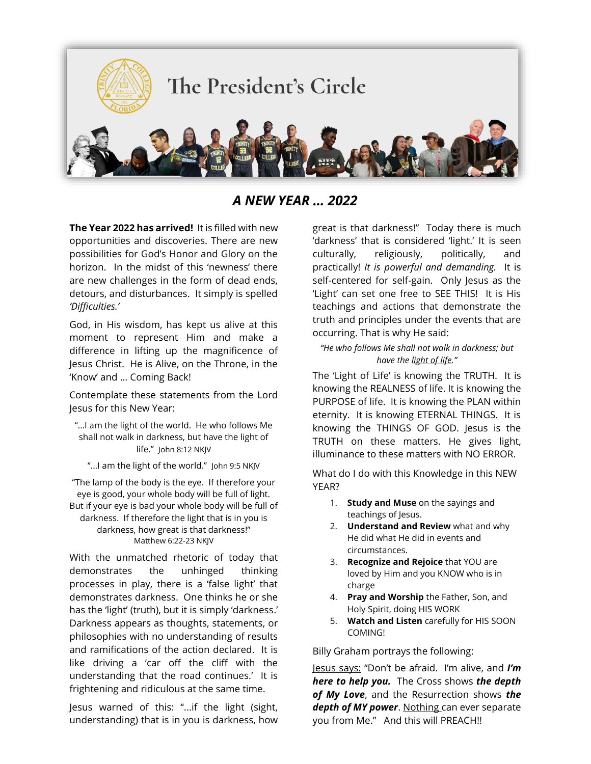

*A NEW YEAR … 2022*

**The Year 2022 has arrived!** It is filled with new opportunities and discoveries. There are new possibilities for God's Honor and Glory on the horizon. In the midst of this 'newness' there are new challenges in the form of dead ends, detours, and disturbances. It simply is spelled *'Difficulties.'*

God, in His wisdom, has kept us alive at this moment to represent Him and make a difference in lifting up the magnificence of Jesus Christ. He is Alive, on the Throne, in the 'Know' and … Coming Back!

Contemplate these statements from the Lord Jesus for this New Year:

"…I am the light of the world. He who follows Me shall not walk in darkness, but have the light of life." John 8:12 NKJV

"... I am the light of the world." John 9:5 NKJV

"The lamp of the body is the eye. If therefore your eye is good, your whole body will be full of light. But if your eye is bad your whole body will be full of darkness. If therefore the light that is in you is darkness, how great is that darkness!" Matthew 6:22-23 NKJV

With the unmatched rhetoric of today that demonstrates the unhinged thinking processes in play, there is a 'false light' that demonstrates darkness. One thinks he or she has the 'light' (truth), but it is simply 'darkness.' Darkness appears as thoughts, statements, or philosophies with no understanding of results and ramifications of the action declared. It is like driving a 'car off the cliff with the understanding that the road continues.' It is frightening and ridiculous at the same time.

Jesus warned of this: "...if the light (sight, understanding) that is in you is darkness, how great is that darkness!" Today there is much 'darkness' that is considered 'light.' It is seen culturally, religiously, politically, and practically! *It is powerful and demanding.* It is self-centered for self-gain. Only Jesus as the 'Light' can set one free to SEE THIS! It is His teachings and actions that demonstrate the truth and principles under the events that are occurring. That is why He said:

## *"He who follows Me shall not walk in darkness; but have the light of life."*

The 'Light of Life' is knowing the TRUTH. It is knowing the REALNESS of life. It is knowing the PURPOSE of life. It is knowing the PLAN within eternity. It is knowing ETERNAL THINGS. It is knowing the THINGS OF GOD. Jesus is the TRUTH on these matters. He gives light, illuminance to these matters with NO ERROR.

What do I do with this Knowledge in this NEW YEAR?

- 1. **Study and Muse** on the sayings and teachings of Jesus.
- 2. **Understand and Review** what and why He did what He did in events and circumstances.
- 3. **Recognize and Rejoice** that YOU are loved by Him and you KNOW who is in charge
- 4. **Pray and Worship** the Father, Son, and Holy Spirit, doing HIS WORK
- 5. **Watch and Listen** carefully for HIS SOON COMING!

Billy Graham portrays the following:

Jesus says: "Don't be afraid. I'm alive, and *I'm here to help you.* The Cross shows *the depth of My Love*, and the Resurrection shows *the depth of MY power*. Nothing can ever separate you from Me." And this will PREACH!!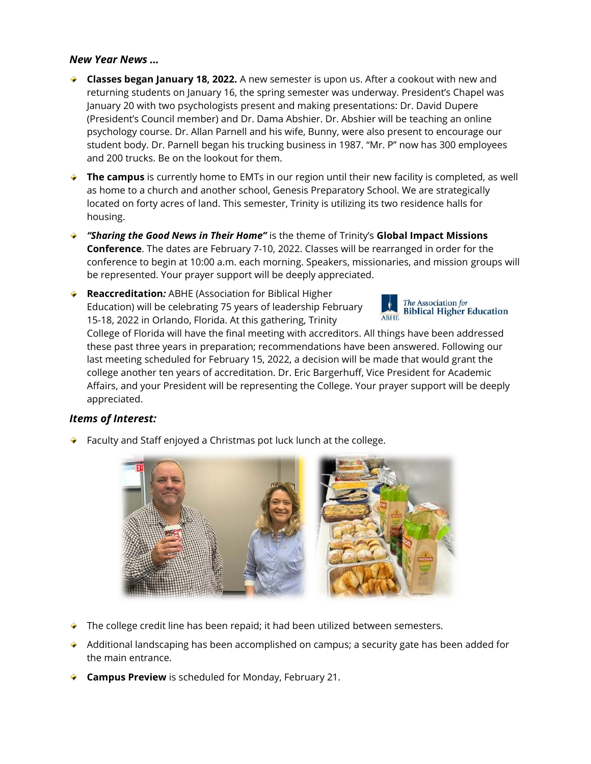## *New Year News …*

- **Classes began January 18, 2022.** A new semester is upon us. After a cookout with new and returning students on January 16, the spring semester was underway. President's Chapel was January 20 with two psychologists present and making presentations: Dr. David Dupere (President's Council member) and Dr. Dama Abshier. Dr. Abshier will be teaching an online psychology course. Dr. Allan Parnell and his wife, Bunny, were also present to encourage our student body. Dr. Parnell began his trucking business in 1987. "Mr. P" now has 300 employees and 200 trucks. Be on the lookout for them.
- ◆ **The campus** is currently home to EMTs in our region until their new facility is completed, as well as home to a church and another school, Genesis Preparatory School. We are strategically located on forty acres of land. This semester, Trinity is utilizing its two residence halls for housing.
- *"Sharing the Good News in Their Home"* is the theme of Trinity's **Global Impact Missions Conference**. The dates are February 7-10, 2022. Classes will be rearranged in order for the conference to begin at 10:00 a.m. each morning. Speakers, missionaries, and mission groups will be represented. Your prayer support will be deeply appreciated.
- **Reaccreditation***:* ABHE (Association for Biblical Higher Education) will be celebrating 75 years of leadership February 15-18, 2022 in Orlando, Florida. At this gathering, Trinity



College of Florida will have the final meeting with accreditors. All things have been addressed these past three years in preparation; recommendations have been answered. Following our last meeting scheduled for February 15, 2022, a decision will be made that would grant the college another ten years of accreditation. Dr. Eric Bargerhuff, Vice President for Academic Affairs, and your President will be representing the College. Your prayer support will be deeply appreciated.

## *Items of Interest:*

Faculty and Staff enjoyed a Christmas pot luck lunch at the college.



- $\blacktriangleright$  The college credit line has been repaid; it had been utilized between semesters.
- $\rightarrow$  Additional landscaping has been accomplished on campus; a security gate has been added for the main entrance.
- **Campus Preview** is scheduled for Monday, February 21.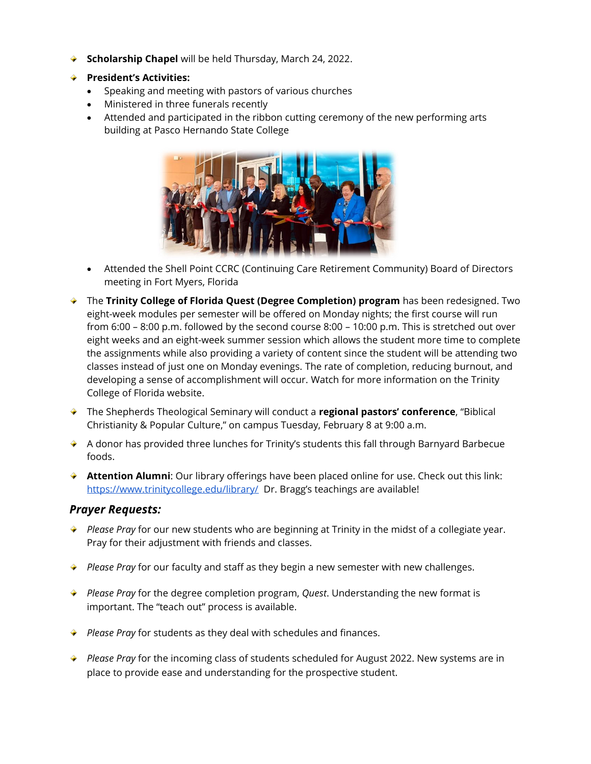- **Scholarship Chapel** will be held Thursday, March 24, 2022.
- **President's Activities:**
	- Speaking and meeting with pastors of various churches
	- Ministered in three funerals recently
	- Attended and participated in the ribbon cutting ceremony of the new performing arts building at Pasco Hernando State College



- Attended the Shell Point CCRC (Continuing Care Retirement Community) Board of Directors meeting in Fort Myers, Florida
- The **Trinity College of Florida Quest (Degree Completion) program** has been redesigned. Two eight-week modules per semester will be offered on Monday nights; the first course will run from 6:00 – 8:00 p.m. followed by the second course 8:00 – 10:00 p.m. This is stretched out over eight weeks and an eight-week summer session which allows the student more time to complete the assignments while also providing a variety of content since the student will be attending two classes instead of just one on Monday evenings. The rate of completion, reducing burnout, and developing a sense of accomplishment will occur. Watch for more information on the Trinity College of Florida website.
- The Shepherds Theological Seminary will conduct a **regional pastors' conference**, "Biblical Christianity & Popular Culture," on campus Tuesday, February 8 at 9:00 a.m.
- A donor has provided three lunches for Trinity's students this fall through Barnyard Barbecue foods.
- **Attention Alumni**: Our library offerings have been placed online for use. Check out this link: <https://www.trinitycollege.edu/library/>Dr. Bragg's teachings are available!

## *Prayer Requests:*

- ◆ *Please Pray* for our new students who are beginning at Trinity in the midst of a collegiate year. Pray for their adjustment with friends and classes.
- ◆ *Please Pray* for our faculty and staff as they begin a new semester with new challenges.
- *Please Pray* for the degree completion program, *Quest*. Understanding the new format is important. The "teach out" process is available.
- *Please Pray* for students as they deal with schedules and finances.
- *Please Pray* for the incoming class of students scheduled for August 2022. New systems are in place to provide ease and understanding for the prospective student.